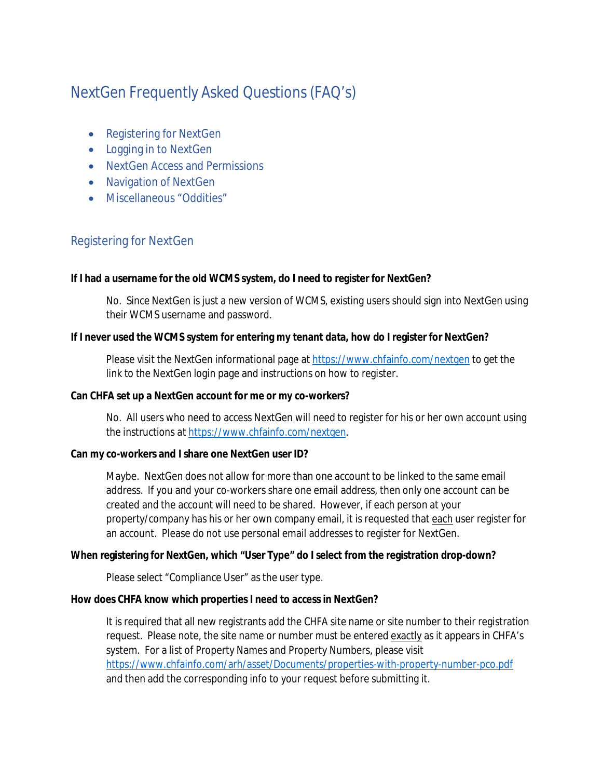# NextGen Frequently Asked Questions (FAQ's)

- · Registering for NextGen
- · Logging in to NextGen
- · NextGen Access and Permissions
- · Navigation of NextGen
- · Miscellaneous "Oddities"

# Registering for NextGen

**If I had a username for the old WCMS system, do I need to register for NextGen?**

No. Since NextGen is just a new version of WCMS, existing users should sign into NextGen using their WCMS username and password.

**If I never used the WCMS system for entering my tenant data, how do I register for NextGen?**

Please visit the NextGen informational page at https://www.chfainfo.com/nextgen to get the link to the NextGen login page and instructions on how to register.

**Can CHFA set up a NextGen account for me or my co-workers?**

No. All users who need to access NextGen will need to register for his or her own account using the instructions at https://www.chfainfo.com/nextgen.

**Can my co-workers and I share one NextGen user ID?**

Maybe. NextGen does not allow for more than one account to be linked to the same email address. If you and your co-workers share one email address, then only one account can be created and the account will need to be shared. However, if each person at your property/company has his or her own company email, it is requested that each user register for an account. Please do not use personal email addresses to register for NextGen.

**When registering for NextGen, which "User Type" do I select from the registration drop-down?**

Please select "Compliance User" as the user type.

**How does CHFA know which properties I need to access in NextGen?**

It is required that all new registrants add the CHFA site name or site number to their registration request. Please note, the site name or number must be entered exactly as it appears in CHFA's system. For a list of Property Names and Property Numbers, please visit https://www.chfainfo.com/arh/asset/Documents/properties-with-property-number-pco.pdf and then add the corresponding info to your request before submitting it.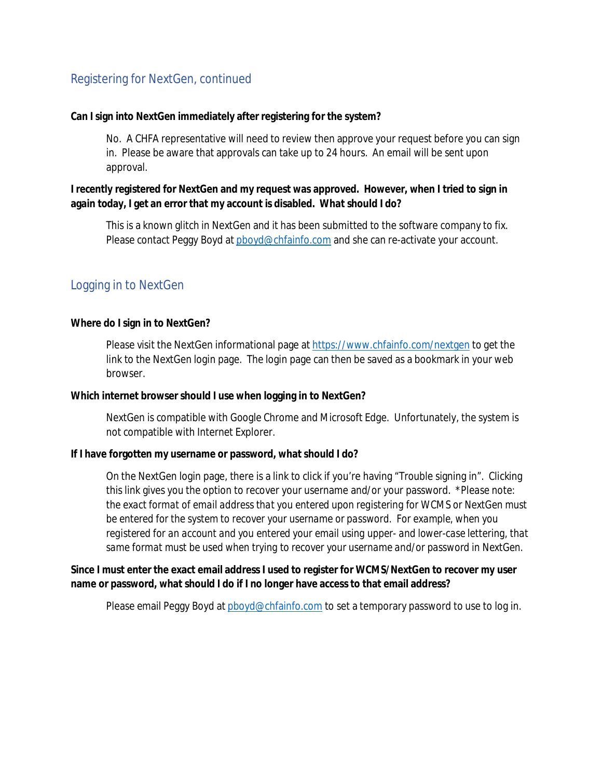# Registering for NextGen, continued

**Can I sign into NextGen immediately after registering for the system?**

No. A CHFA representative will need to review then approve your request before you can sign in. Please be aware that approvals can take up to 24 hours. An email will be sent upon approval.

**I recently registered for NextGen and my request was approved. However, when I tried to sign in again today, I get an error that my account is disabled. What should I do?**

This is a known glitch in NextGen and it has been submitted to the software company to fix. Please contact Peggy Boyd at pboyd@chfainfo.com and she can re-activate your account.

# Logging in to NextGen

**Where do I sign in to NextGen?**

Please visit the NextGen informational page at https://www.chfainfo.com/nextgen to get the link to the NextGen login page. The login page can then be saved as a bookmark in your web browser.

**Which internet browser should I use when logging in to NextGen?**

NextGen is compatible with Google Chrome and Microsoft Edge. Unfortunately, the system is not compatible with Internet Explorer.

**If I have forgotten my username or password, what should I do?**

On the NextGen login page, there is a link to click if you're having "Trouble signing in". Clicking this link gives you the option to recover your username and/or your password. *\*Please note: the exact format of email address that you entered upon registering for WCMS or NextGen must be entered for the system to recover your username or password. For example, when you registered for an account and you entered your email using upper- and lower-case lettering, that same format must be used when trying to recover your username and/or password in NextGen.*

**Since I must enter the exact email address I used to register for WCMS/NextGen to recover my user name or password, what should I do if I no longer have access to that email address?**

Please email Peggy Boyd at pboyd@chfainfo.com to set a temporary password to use to log in.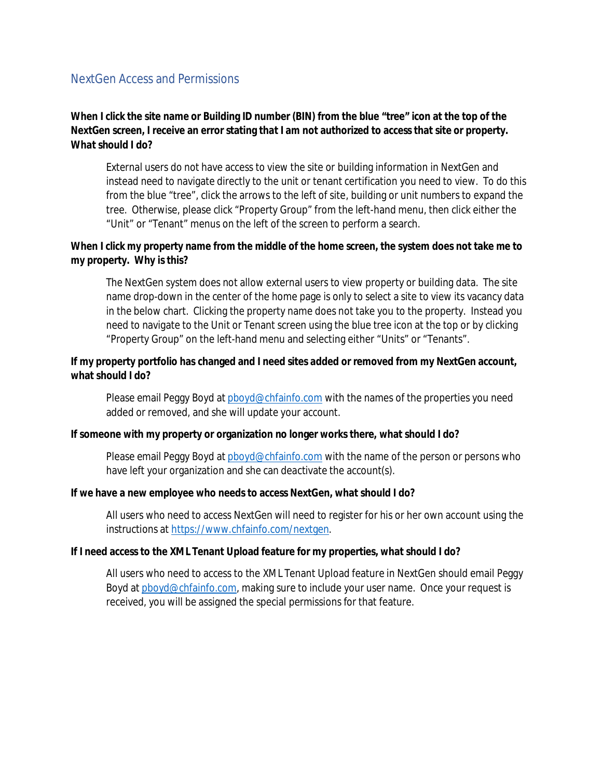#### NextGen Access and Permissions

**When I click the site name or Building ID number (BIN) from the blue "tree" icon at the top of the NextGen screen, I receive an error stating that I am not authorized to access that site or property. What should I do?**

External users do not have access to view the site or building information in NextGen and instead need to navigate directly to the unit or tenant certification you need to view. To do this from the blue "tree", click the arrows to the left of site, building or unit numbers to expand the tree. Otherwise, please click "Property Group" from the left-hand menu, then click either the "Unit" or "Tenant" menus on the left of the screen to perform a search.

**When I click my property name from the middle of the home screen, the system does not take me to my property. Why is this?**

The NextGen system does not allow external users to view property or building data. The site name drop-down in the center of the home page is only to select a site to view its vacancy data in the below chart. Clicking the property name does not take you to the property. Instead you need to navigate to the Unit or Tenant screen using the blue tree icon at the top or by clicking "Property Group" on the left-hand menu and selecting either "Units" or "Tenants".

**If my property portfolio has changed and I need sites added or removed from my NextGen account, what should I do?**

Please email Peggy Boyd at pboyd@chfainfo.com with the names of the properties you need added or removed, and she will update your account.

**If someone with my property or organization no longer works there, what should I do?**

Please email Peggy Boyd at pboyd@chfainfo.com with the name of the person or persons who have left your organization and she can deactivate the account(s).

**If we have a new employee who needs to access NextGen, what should I do?**

All users who need to access NextGen will need to register for his or her own account using the instructions at https://www.chfainfo.com/nextgen.

**If I need access to the XML Tenant Upload feature for my properties, what should I do?**

All users who need to access to the XML Tenant Upload feature in NextGen should email Peggy Boyd at pboyd@chfainfo.com, making sure to include your user name. Once your request is received, you will be assigned the special permissions for that feature.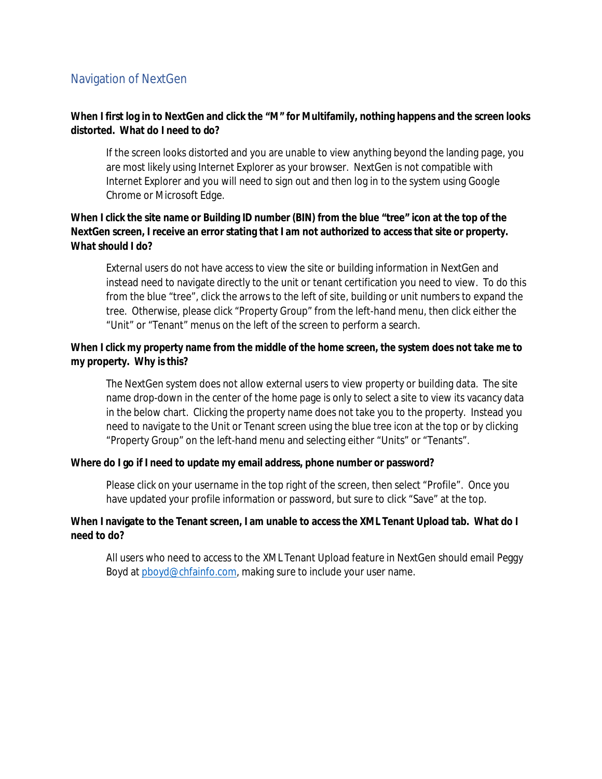# Navigation of NextGen

**When I first log in to NextGen and click the "M" for Multifamily, nothing happens and the screen looks distorted. What do I need to do?**

If the screen looks distorted and you are unable to view anything beyond the landing page, you are most likely using Internet Explorer as your browser. NextGen is not compatible with Internet Explorer and you will need to sign out and then log in to the system using Google Chrome or Microsoft Edge.

**When I click the site name or Building ID number (BIN) from the blue "tree" icon at the top of the NextGen screen, I receive an error stating that I am not authorized to access that site or property. What should I do?**

External users do not have access to view the site or building information in NextGen and instead need to navigate directly to the unit or tenant certification you need to view. To do this from the blue "tree", click the arrows to the left of site, building or unit numbers to expand the tree. Otherwise, please click "Property Group" from the left-hand menu, then click either the "Unit" or "Tenant" menus on the left of the screen to perform a search.

**When I click my property name from the middle of the home screen, the system does not take me to my property. Why is this?**

The NextGen system does not allow external users to view property or building data. The site name drop-down in the center of the home page is only to select a site to view its vacancy data in the below chart. Clicking the property name does not take you to the property. Instead you need to navigate to the Unit or Tenant screen using the blue tree icon at the top or by clicking "Property Group" on the left-hand menu and selecting either "Units" or "Tenants".

**Where do I go if I need to update my email address, phone number or password?**

Please click on your username in the top right of the screen, then select "Profile". Once you have updated your profile information or password, but sure to click "Save" at the top.

**When I navigate to the Tenant screen, I am unable to access the XML Tenant Upload tab. What do I need to do?**

All users who need to access to the XML Tenant Upload feature in NextGen should email Peggy Boyd at pboyd@chfainfo.com, making sure to include your user name.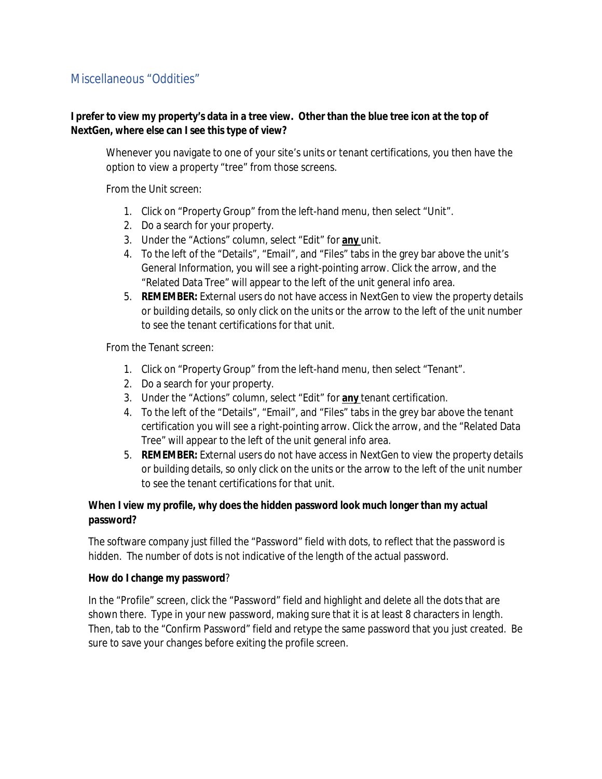# Miscellaneous "Oddities"

**I prefer to view my property's data in a tree view. Other than the blue tree icon at the top of NextGen, where else can I see this type of view?**

Whenever you navigate to one of your site's units or tenant certifications, you then have the option to view a property "tree" from those screens.

From the Unit screen:

- 1. Click on "Property Group" from the left-hand menu, then select "Unit".
- 2. Do a search for your property.
- 3. Under the "Actions" column, select "Edit" for **any** unit.
- 4. To the left of the "Details", "Email", and "Files" tabs in the grey bar above the unit's General Information, you will see a right-pointing arrow. Click the arrow, and the "Related Data Tree" will appear to the left of the unit general info area.
- 5. **REMEMBER:** External users do not have access in NextGen to view the property details or building details, so only click on the units or the arrow to the left of the unit number to see the tenant certifications for that unit.

From the Tenant screen:

- 1. Click on "Property Group" from the left-hand menu, then select "Tenant".
- 2. Do a search for your property.
- 3. Under the "Actions" column, select "Edit" for **any** tenant certification.
- 4. To the left of the "Details", "Email", and "Files" tabs in the grey bar above the tenant certification you will see a right-pointing arrow. Click the arrow, and the "Related Data Tree" will appear to the left of the unit general info area.
- 5. **REMEMBER:** External users do not have access in NextGen to view the property details or building details, so only click on the units or the arrow to the left of the unit number to see the tenant certifications for that unit.

**When I view my profile, why does the hidden password look much longer than my actual password?**

The software company just filled the "Password" field with dots, to reflect that the password is hidden. The number of dots is not indicative of the length of the actual password.

**How do I change my password**?

In the "Profile" screen, click the "Password" field and highlight and delete all the dots that are shown there. Type in your new password, making sure that it is at least 8 characters in length. Then, tab to the "Confirm Password" field and retype the same password that you just created. Be sure to save your changes before exiting the profile screen.